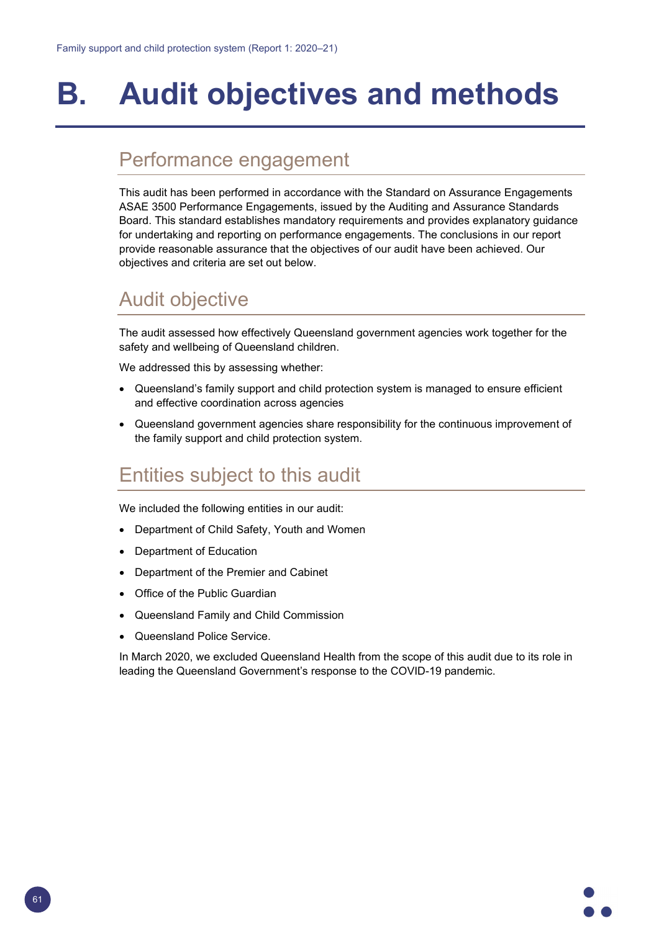# **B. Audit objectives and methods**

### Performance engagement

This audit has been performed in accordance with the Standard on Assurance Engagements ASAE 3500 Performance Engagements, issued by the Auditing and Assurance Standards Board. This standard establishes mandatory requirements and provides explanatory guidance for undertaking and reporting on performance engagements. The conclusions in our report provide reasonable assurance that the objectives of our audit have been achieved. Our objectives and criteria are set out below.

### Audit objective

The audit assessed how effectively Queensland government agencies work together for the safety and wellbeing of Queensland children.

We addressed this by assessing whether:

- Queensland's family support and child protection system is managed to ensure efficient and effective coordination across agencies
- Queensland government agencies share responsibility for the continuous improvement of the family support and child protection system.

## Entities subject to this audit

We included the following entities in our audit:

- Department of Child Safety, Youth and Women
- Department of Education
- Department of the Premier and Cabinet
- Office of the Public Guardian
- Queensland Family and Child Commission
- Queensland Police Service.

In March 2020, we excluded Queensland Health from the scope of this audit due to its role in leading the Queensland Government's response to the COVID-19 pandemic.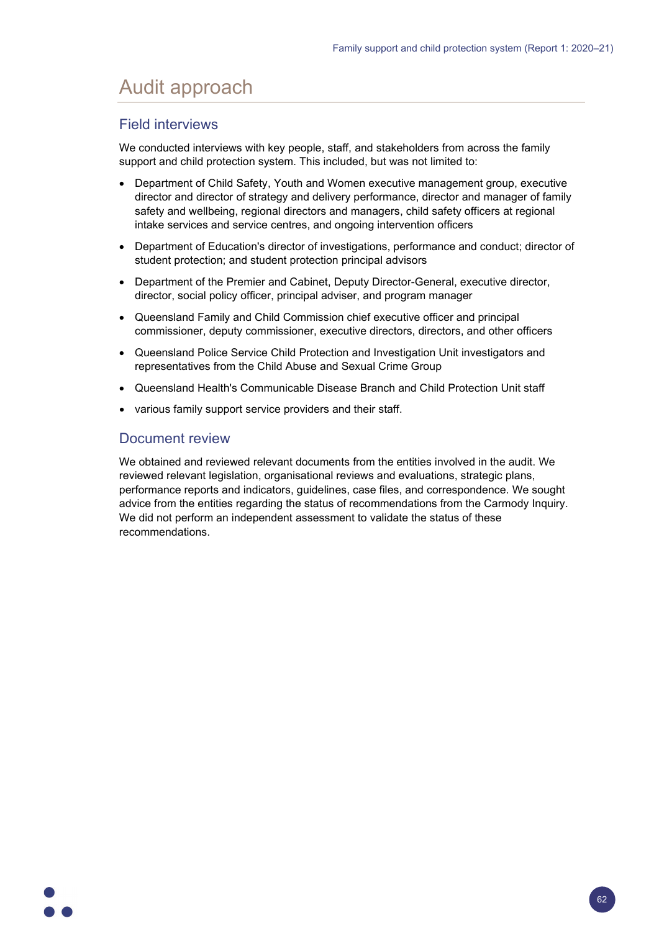# Audit approach

### Field interviews

We conducted interviews with key people, staff, and stakeholders from across the family support and child protection system. This included, but was not limited to:

- Department of Child Safety, Youth and Women executive management group, executive director and director of strategy and delivery performance, director and manager of family safety and wellbeing, regional directors and managers, child safety officers at regional intake services and service centres, and ongoing intervention officers
- Department of Education's director of investigations, performance and conduct; director of student protection; and student protection principal advisors
- Department of the Premier and Cabinet, Deputy Director-General, executive director, director, social policy officer, principal adviser, and program manager
- Queensland Family and Child Commission chief executive officer and principal commissioner, deputy commissioner, executive directors, directors, and other officers
- Queensland Police Service Child Protection and Investigation Unit investigators and representatives from the Child Abuse and Sexual Crime Group
- Queensland Health's Communicable Disease Branch and Child Protection Unit staff
- various family support service providers and their staff.

#### Document review

We obtained and reviewed relevant documents from the entities involved in the audit. We reviewed relevant legislation, organisational reviews and evaluations, strategic plans, performance reports and indicators, guidelines, case files, and correspondence. We sought advice from the entities regarding the status of recommendations from the Carmody Inquiry. We did not perform an independent assessment to validate the status of these recommendations.